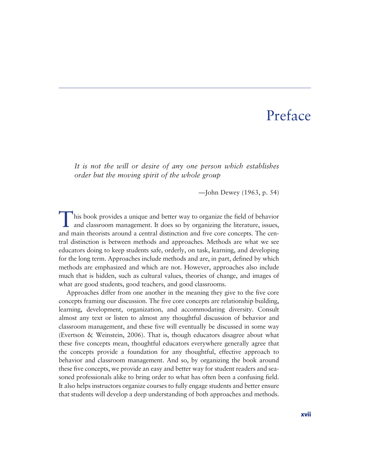# Preface

*It is not the will or desire of any one person which establishes order but the moving spirit of the whole group*

—John Dewey (1963, p. 54)

This book provides a unique and better way to organize the field of behavior and classroom management. It does so by organizing the literature, issues, and main theorists around a central distinction and five core concepts. The central distinction is between methods and approaches. Methods are what we see educators doing to keep students safe, orderly, on task, learning, and developing for the long term. Approaches include methods and are, in part, defined by which methods are emphasized and which are not. However, approaches also include much that is hidden, such as cultural values, theories of change, and images of what are good students, good teachers, and good classrooms.

Approaches differ from one another in the meaning they give to the five core concepts framing our discussion. The five core concepts are relationship building, learning, development, organization, and accommodating diversity. Consult almost any text or listen to almost any thoughtful discussion of behavior and classroom management, and these five will eventually be discussed in some way (Evertson & Weinstein, 2006). That is, though educators disagree about what these five concepts mean, thoughtful educators everywhere generally agree that the concepts provide a foundation for any thoughtful, effective approach to behavior and classroom management. And so, by organizing the book around these five concepts, we provide an easy and better way for student readers and seasoned professionals alike to bring order to what has often been a confusing field. It also helps instructors organize courses to fully engage students and better ensure that students will develop a deep understanding of both approaches and methods.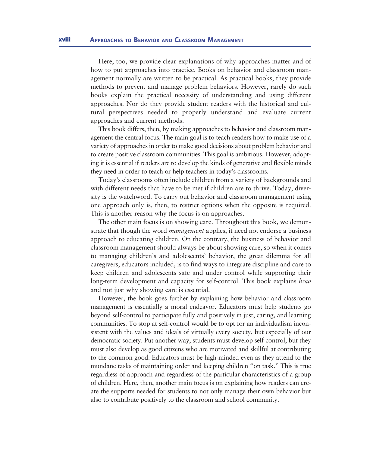Here, too, we provide clear explanations of why approaches matter and of how to put approaches into practice. Books on behavior and classroom management normally are written to be practical. As practical books, they provide methods to prevent and manage problem behaviors. However, rarely do such books explain the practical necessity of understanding and using different approaches. Nor do they provide student readers with the historical and cultural perspectives needed to properly understand and evaluate current approaches and current methods.

This book differs, then, by making approaches to behavior and classroom management the central focus. The main goal is to teach readers how to make use of a variety of approaches in order to make good decisions about problem behavior and to create positive classroom communities. This goal is ambitious. However, adopting it is essential if readers are to develop the kinds of generative and flexible minds they need in order to teach or help teachers in today's classrooms.

Today's classrooms often include children from a variety of backgrounds and with different needs that have to be met if children are to thrive. Today, diversity is the watchword. To carry out behavior and classroom management using one approach only is, then, to restrict options when the opposite is required. This is another reason why the focus is on approaches.

The other main focus is on showing care. Throughout this book, we demonstrate that though the word *management* applies, it need not endorse a business approach to educating children. On the contrary, the business of behavior and classroom management should always be about showing care, so when it comes to managing children's and adolescents' behavior, the great dilemma for all caregivers, educators included, is to find ways to integrate discipline and care to keep children and adolescents safe and under control while supporting their long-term development and capacity for self-control. This book explains *how* and not just why showing care is essential.

However, the book goes further by explaining how behavior and classroom management is essentially a moral endeavor. Educators must help students go beyond self-control to participate fully and positively in just, caring, and learning communities. To stop at self-control would be to opt for an individualism inconsistent with the values and ideals of virtually every society, but especially of our democratic society. Put another way, students must develop self-control, but they must also develop as good citizens who are motivated and skillful at contributing to the common good. Educators must be high-minded even as they attend to the mundane tasks of maintaining order and keeping children "on task." This is true regardless of approach and regardless of the particular characteristics of a group of children. Here, then, another main focus is on explaining how readers can create the supports needed for students to not only manage their own behavior but also to contribute positively to the classroom and school community.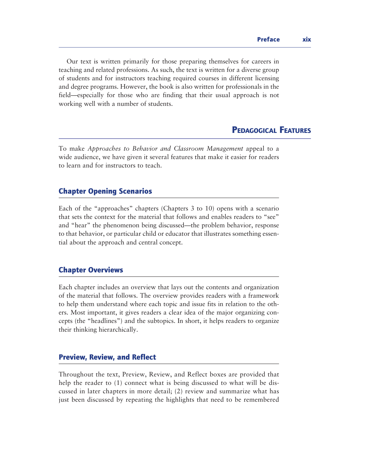Our text is written primarily for those preparing themselves for careers in teaching and related professions. As such, the text is written for a diverse group of students and for instructors teaching required courses in different licensing and degree programs. However, the book is also written for professionals in the field—especially for those who are finding that their usual approach is not working well with a number of students.

## **PEDAGOGICAL FEATURES**

To make *Approaches to Behavior and Classroom Management* appeal to a wide audience, we have given it several features that make it easier for readers to learn and for instructors to teach.

#### **Chapter Opening Scenarios**

Each of the "approaches" chapters (Chapters 3 to 10) opens with a scenario that sets the context for the material that follows and enables readers to "see" and "hear" the phenomenon being discussed—the problem behavior, response to that behavior, or particular child or educator that illustrates something essential about the approach and central concept.

#### **Chapter Overviews**

Each chapter includes an overview that lays out the contents and organization of the material that follows. The overview provides readers with a framework to help them understand where each topic and issue fits in relation to the others. Most important, it gives readers a clear idea of the major organizing concepts (the "headlines") and the subtopics. In short, it helps readers to organize their thinking hierarchically.

#### **Preview, Review, and Reflect**

Throughout the text, Preview, Review, and Reflect boxes are provided that help the reader to (1) connect what is being discussed to what will be discussed in later chapters in more detail; (2) review and summarize what has just been discussed by repeating the highlights that need to be remembered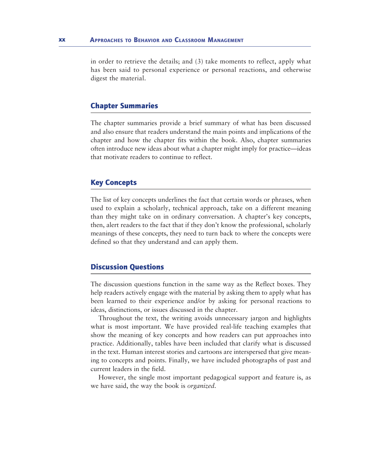in order to retrieve the details; and (3) take moments to reflect, apply what has been said to personal experience or personal reactions, and otherwise digest the material.

### **Chapter Summaries**

The chapter summaries provide a brief summary of what has been discussed and also ensure that readers understand the main points and implications of the chapter and how the chapter fits within the book. Also, chapter summaries often introduce new ideas about what a chapter might imply for practice—ideas that motivate readers to continue to reflect.

#### **Key Concepts**

The list of key concepts underlines the fact that certain words or phrases, when used to explain a scholarly, technical approach, take on a different meaning than they might take on in ordinary conversation. A chapter's key concepts, then, alert readers to the fact that if they don't know the professional, scholarly meanings of these concepts, they need to turn back to where the concepts were defined so that they understand and can apply them.

#### **Discussion Questions**

The discussion questions function in the same way as the Reflect boxes. They help readers actively engage with the material by asking them to apply what has been learned to their experience and/or by asking for personal reactions to ideas, distinctions, or issues discussed in the chapter.

Throughout the text, the writing avoids unnecessary jargon and highlights what is most important. We have provided real-life teaching examples that show the meaning of key concepts and how readers can put approaches into practice. Additionally, tables have been included that clarify what is discussed in the text. Human interest stories and cartoons are interspersed that give meaning to concepts and points. Finally, we have included photographs of past and current leaders in the field.

However, the single most important pedagogical support and feature is, as we have said, the way the book is *organized.*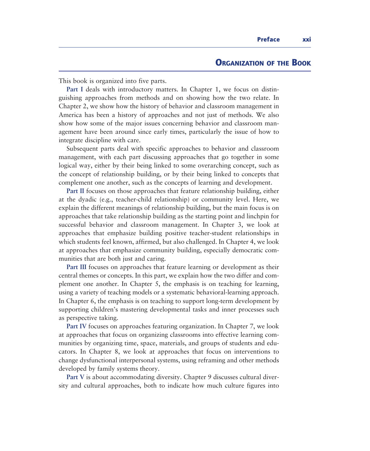## **ORGANIZATION OF THE BOOK**

This book is organized into five parts.

**Part I** deals with introductory matters. In Chapter 1, we focus on distinguishing approaches from methods and on showing how the two relate. In Chapter 2, we show how the history of behavior and classroom management in America has been a history of approaches and not just of methods. We also show how some of the major issues concerning behavior and classroom management have been around since early times, particularly the issue of how to integrate discipline with care.

Subsequent parts deal with specific approaches to behavior and classroom management, with each part discussing approaches that go together in some logical way, either by their being linked to some overarching concept, such as the concept of relationship building, or by their being linked to concepts that complement one another, such as the concepts of learning and development.

**Part II** focuses on those approaches that feature relationship building, either at the dyadic (e.g., teacher-child relationship) or community level. Here, we explain the different meanings of relationship building, but the main focus is on approaches that take relationship building as the starting point and linchpin for successful behavior and classroom management. In Chapter 3, we look at approaches that emphasize building positive teacher-student relationships in which students feel known, affirmed, but also challenged. In Chapter 4, we look at approaches that emphasize community building, especially democratic communities that are both just and caring.

**Part III** focuses on approaches that feature learning or development as their central themes or concepts. In this part, we explain how the two differ and complement one another. In Chapter 5, the emphasis is on teaching for learning, using a variety of teaching models or a systematic behavioral-learning approach. In Chapter 6, the emphasis is on teaching to support long-term development by supporting children's mastering developmental tasks and inner processes such as perspective taking.

**Part IV** focuses on approaches featuring organization. In Chapter 7, we look at approaches that focus on organizing classrooms into effective learning communities by organizing time, space, materials, and groups of students and educators. In Chapter 8, we look at approaches that focus on interventions to change dysfunctional interpersonal systems, using reframing and other methods developed by family systems theory.

Part V is about accommodating diversity. Chapter 9 discusses cultural diversity and cultural approaches, both to indicate how much culture figures into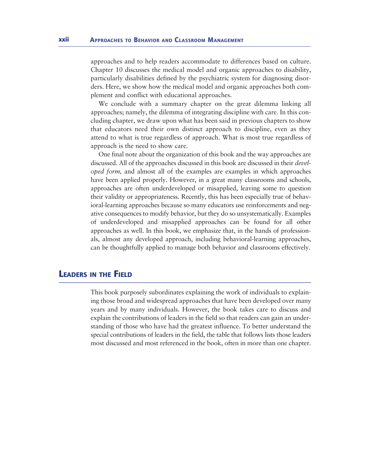approaches and to help readers accommodate to differences based on culture. Chapter 10 discusses the medical model and organic approaches to disability, particularly disabilities defined by the psychiatric system for diagnosing disorders. Here, we show how the medical model and organic approaches both complement and conflict with educational approaches.

We conclude with a summary chapter on the great dilemma linking all approaches; namely, the dilemma of integrating discipline with care. In this concluding chapter, we draw upon what has been said in previous chapters to show that educators need their own distinct approach to discipline, even as they attend to what is true regardless of approach. What is most true regardless of approach is the need to show care.

One final note about the organization of this book and the way approaches are discussed. All of the approaches discussed in this book are discussed in their *developed form,* and almost all of the examples are examples in which approaches have been applied properly. However, in a great many classrooms and schools, approaches are often underdeveloped or misapplied, leaving some to question their validity or appropriateness. Recently, this has been especially true of behavioral-learning approaches because so many educators use reinforcements and negative consequences to modify behavior, but they do so unsystematically. Examples of underdeveloped and misapplied approaches can be found for all other approaches as well. In this book, we emphasize that, in the hands of professionals, almost any developed approach, including behavioral-learning approaches, can be thoughtfully applied to manage both behavior and classrooms effectively.

## **LEADERS IN THE FIELD**

This book purposely subordinates explaining the work of individuals to explaining those broad and widespread approaches that have been developed over many years and by many individuals. However, the book takes care to discuss and explain the contributions of leaders in the field so that readers can gain an understanding of those who have had the greatest influence. To better understand the special contributions of leaders in the field, the table that follows lists those leaders most discussed and most referenced in the book, often in more than one chapter.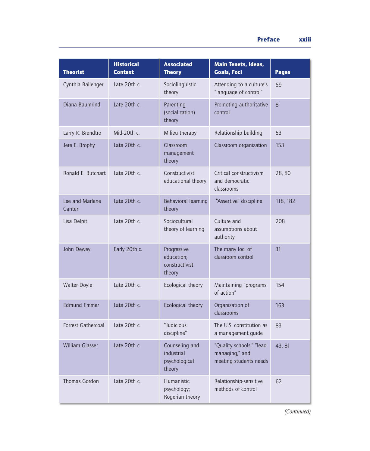| <b>Theorist</b>           | <b>Historical</b><br><b>Context</b> | <b>Associated</b><br><b>Theory</b>                      | Main Tenets, Ideas,<br><b>Goals, Foci</b>                            | <b>Pages</b> |
|---------------------------|-------------------------------------|---------------------------------------------------------|----------------------------------------------------------------------|--------------|
| Cynthia Ballenger         | Late 20th c.                        | Sociolinguistic<br>theory                               | Attending to a culture's<br>"language of control"                    | 59           |
| Diana Baumrind            | Late 20th c.                        | Parenting<br>(socialization)<br>theory                  | Promoting authoritative<br>control                                   | 8            |
| Larry K. Brendtro         | Mid-20th c.                         | Milieu therapy                                          | Relationship building                                                | 53           |
| Jere E. Brophy            | Late 20th c.                        | Classroom<br>management<br>theory                       | Classroom organization                                               | 153          |
| Ronald E. Butchart        | Late 20th c.                        | Constructivist<br>educational theory                    | Critical constructivism<br>and democratic<br>classrooms              | 28,80        |
| Lee and Marlene<br>Canter | Late 20th c.                        | Behavioral learning<br>theory                           | "Assertive" discipline                                               | 118, 182     |
| Lisa Delpit               | Late 20th c.                        | Sociocultural<br>theory of learning                     | Culture and<br>assumptions about<br>authority                        | 208          |
| John Dewey                | Early 20th c.                       | Progressive<br>education;<br>constructivist<br>theory   | The many loci of<br>classroom control                                | 31           |
| <b>Walter Doyle</b>       | Late 20th c.                        | Ecological theory                                       | Maintaining "programs<br>of action"                                  | 154          |
| <b>Edmund Emmer</b>       | Late 20th c.                        | Ecological theory                                       | Organization of<br>classrooms                                        | 163          |
| Forrest Gathercoal        | Late 20th c.                        | "Judicious<br>discipline"                               | The U.S. constitution as<br>a management quide                       | 83           |
| <b>William Glasser</b>    | Late 20th c.                        | Counseling and<br>industrial<br>psychological<br>theory | "Quality schools," "lead<br>managing," and<br>meeting students needs | 43.81        |
| Thomas Gordon             | Late 20th c.                        | Humanistic<br>psychology;<br>Rogerian theory            | Relationship-sensitive<br>methods of control                         | 62           |

*(Continued)*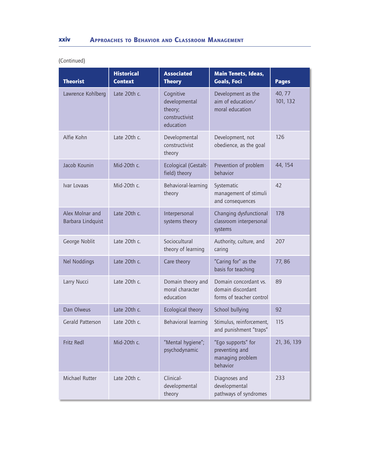| <b>Theorist</b>                      | <b>Historical</b><br><b>Context</b> | Associated<br><b>Theory</b>                                          | Main Tenets, Ideas,<br><b>Goals, Foci</b>                              | <b>Pages</b>       |
|--------------------------------------|-------------------------------------|----------------------------------------------------------------------|------------------------------------------------------------------------|--------------------|
| Lawrence Kohlberg                    | Late 20th c.                        | Cognitive<br>developmental<br>theory;<br>constructivist<br>education | Development as the<br>aim of education/<br>moral education             | 40, 77<br>101, 132 |
| Alfie Kohn                           | Late 20th c.                        | Developmental<br>constructivist<br>theory                            | Development, not<br>obedience, as the goal                             | 126                |
| Jacob Kounin                         | Mid-20th c.                         | Ecological (Gestalt-<br>field) theory                                | Prevention of problem<br>behavior                                      | 44, 154            |
| Ivar Lovaas                          | Mid-20th c.                         | Behavioral-learning<br>theory                                        | Systematic<br>management of stimuli<br>and consequences                | 47                 |
| Alex Molnar and<br>Barbara Lindquist | Late 20th c.                        | Interpersonal<br>systems theory                                      | Changing dysfunctional<br>classroom interpersonal<br>systems           | 178                |
| George Noblit                        | Late 20th c.                        | Sociocultural<br>theory of learning                                  | Authority, culture, and<br>caring                                      | 207                |
| Nel Noddings                         | Late 20th c.                        | Care theory                                                          | "Caring for" as the<br>basis for teaching                              | 77,86              |
| Larry Nucci                          | Late 20th c.                        | Domain theory and<br>moral character<br>education                    | Domain concordant vs.<br>domain discordant<br>forms of teacher control | 89                 |
| Dan Olweus                           | Late 20th c.                        | Ecological theory                                                    | School bullying                                                        | 92                 |
| Gerald Patterson                     | Late 20th c.                        | <b>Behavioral learning</b>                                           | Stimulus, reinforcement,<br>and punishment "traps"                     | 115                |
| Fritz Redl                           | Mid-20th c.                         | "Mental hygiene";<br>psychodynamic                                   | "Ego supports" for<br>preventing and<br>managing problem<br>behavior   | 21, 36, 139        |
| Michael Rutter                       | Late 20th c.                        | Clinical-<br>developmental<br>theory                                 | Diagnoses and<br>developmental<br>pathways of syndromes                | 233                |

#### (Continued)